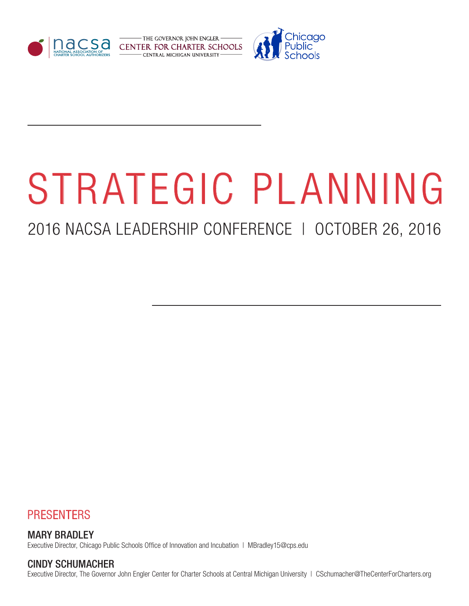



# STRATEGIC PLANNING

# 2016 NACSA LEADERSHIP CONFERENCE | OCTOBER 26, 2016



### MARY BRADLEY

Executive Director, Chicago Public Schools Office of Innovation and Incubation | MBradley15@cps.edu

### CINDY SCHUMACHER

Executive Director, The Governor John Engler Center for Charter Schools at Central Michigan University | CSchumacher@TheCenterForCharters.org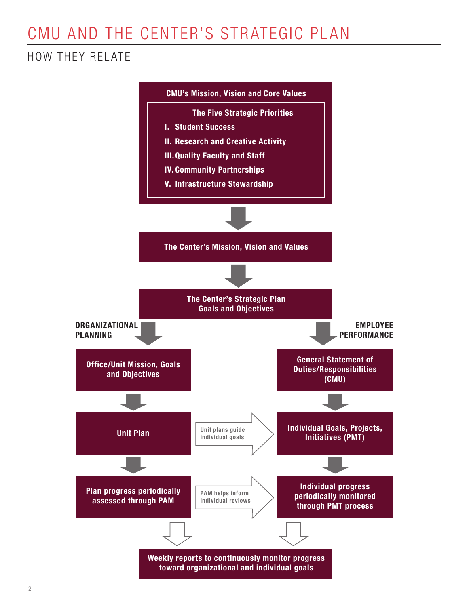# CMU AND THE CENTER'S STRATEGIC PLAN

### HOW THEY RELATE

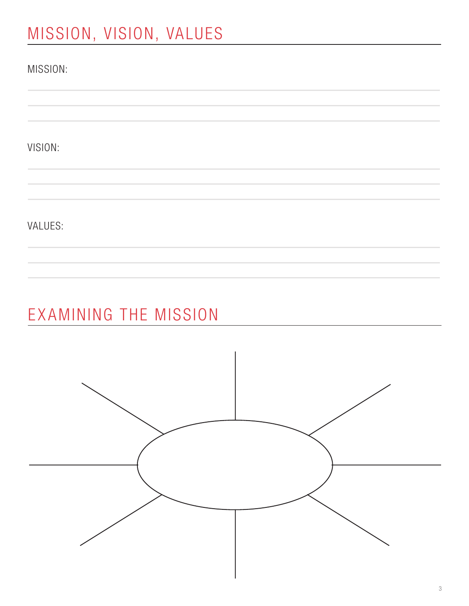# MISSION, VISION, VALUES

| MISSION: |  |  |  |
|----------|--|--|--|
|          |  |  |  |
| VISION:  |  |  |  |
|          |  |  |  |
| VALUES:  |  |  |  |
|          |  |  |  |

# EXAMINING THE MISSION

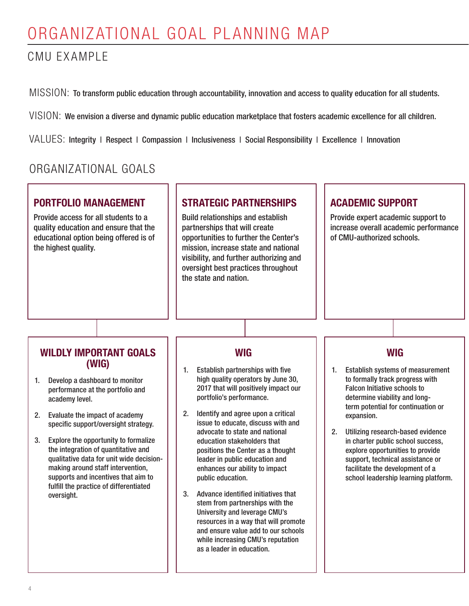### CMU EXAMPLE

MISSION: To transform public education through accountability, innovation and access to quality education for all students.

VISION: We envision a diverse and dynamic public education marketplace that fosters academic excellence for all children.

VALUES: Integrity | Respect | Compassion | Inclusiveness | Social Responsibility | Excellence | Innovation

### ORGANIZATIONAL GOALS

### PORTFOLIO MANAGEMENT

Provide access for all students to a quality education and ensure that the educational option being offered is of the highest quality.

### STRATEGIC PARTNERSHIPS

Build relationships and establish partnerships that will create opportunities to further the Center's mission, increase state and national visibility, and further authorizing and oversight best practices throughout the state and nation.

### ACADEMIC SUPPORT

Provide expert academic support to increase overall academic performance of CMU-authorized schools.

### WILDLY IMPORTANT GOALS (WIG)

- 1. Develop a dashboard to monitor performance at the portfolio and academy level.
- 2. Evaluate the impact of academy specific support/oversight strategy.
- 3. Explore the opportunity to formalize the integration of quantitative and qualitative data for unit wide decisionmaking around staff intervention, supports and incentives that aim to fulfill the practice of differentiated oversight.

### WIG

- 1. Establish partnerships with five high quality operators by June 30, 2017 that will positively impact our portfolio's performance.
- 2. Identify and agree upon a critical issue to educate, discuss with and advocate to state and national education stakeholders that positions the Center as a thought leader in public education and enhances our ability to impact public education.
- 3. Advance identified initiatives that stem from partnerships with the University and leverage CMU's resources in a way that will promote and ensure value add to our schools while increasing CMU's reputation as a leader in education.

### WIG

- 1. Establish systems of measurement to formally track progress with Falcon Initiative schools to determine viability and longterm potential for continuation or expansion.
- 2. Utilizing research-based evidence in charter public school success, explore opportunities to provide support, technical assistance or facilitate the development of a school leadership learning platform.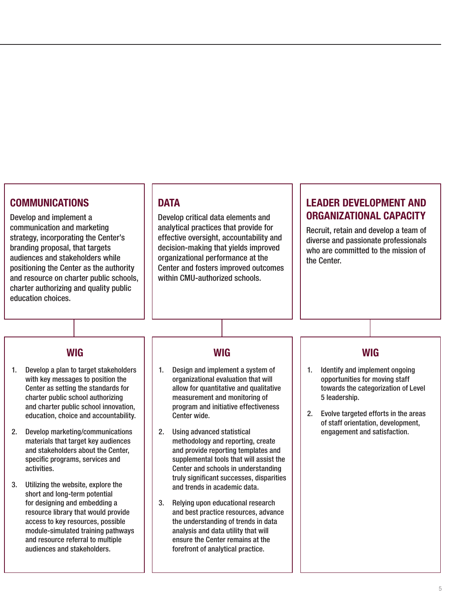### COMMUNICATIONS

Develop and implement a communication and marketing strategy, incorporating the Center's branding proposal, that targets audiences and stakeholders while positioning the Center as the authority and resource on charter public schools, charter authorizing and quality public education choices.

#### **DATA**

Develop critical data elements and analytical practices that provide for effective oversight, accountability and decision-making that yields improved organizational performance at the Center and fosters improved outcomes within CMU-authorized schools.

### LEADER DEVELOPMENT AND ORGANIZATIONAL CAPACITY

Recruit, retain and develop a team of diverse and passionate professionals who are committed to the mission of the Center.

#### **WIG**

- 1. Develop a plan to target stakeholders with key messages to position the Center as setting the standards for charter public school authorizing and charter public school innovation, education, choice and accountability.
- 2. Develop marketing/communications materials that target key audiences and stakeholders about the Center, specific programs, services and activities.
- 3. Utilizing the website, explore the short and long-term potential for designing and embedding a resource library that would provide access to key resources, possible module-simulated training pathways and resource referral to multiple audiences and stakeholders.

#### **WIG**

- 1. Design and implement a system of organizational evaluation that will allow for quantitative and qualitative measurement and monitoring of program and initiative effectiveness Center wide.
- 2. Using advanced statistical methodology and reporting, create and provide reporting templates and supplemental tools that will assist the Center and schools in understanding truly significant successes, disparities and trends in academic data.
- 3. Relying upon educational research and best practice resources, advance the understanding of trends in data analysis and data utility that will ensure the Center remains at the forefront of analytical practice.

#### WIG

- 1. Identify and implement ongoing opportunities for moving staff towards the categorization of Level 5 leadership.
- 2. Evolve targeted efforts in the areas of staff orientation, development, engagement and satisfaction.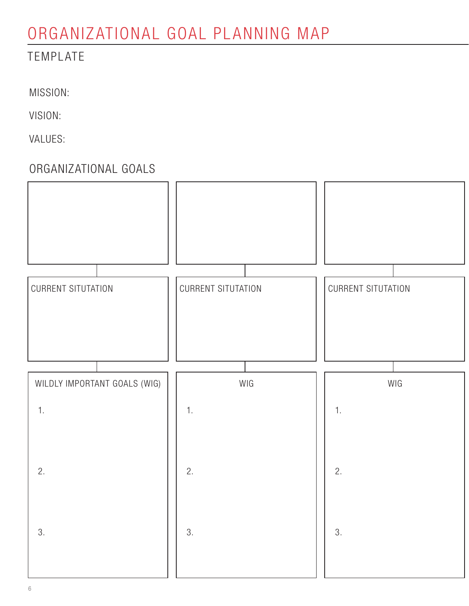### TEMPLATE

MISSION:

VISION:

VALUES:

### ORGANIZATIONAL GOALS

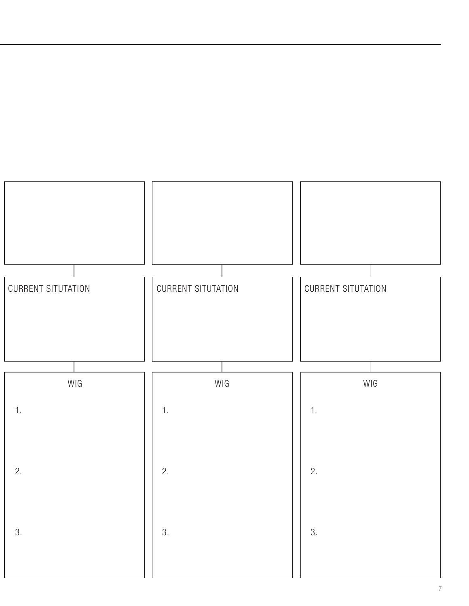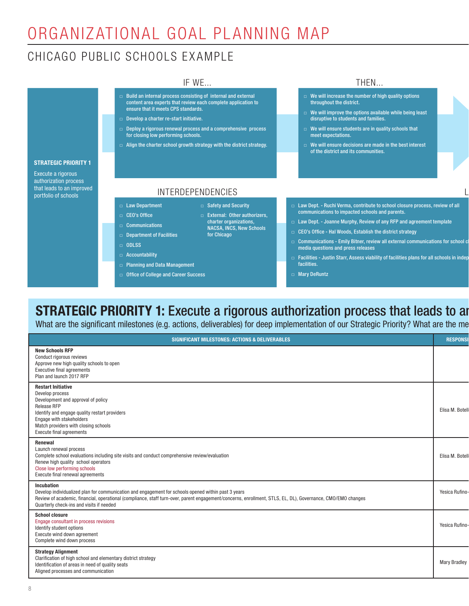IF WE...

### CHICAGO PUBLIC SCHOOLS EXAMPLE

#### Build an internal process consisting of internal and external content area experts that review each complete application to ensure that it meets CPS standards. □ Develop a charter re-start initiative. □ Deploy a rigorous renewal process and a comprehensive process for closing low performing schools. □ Align the charter school growth strategy with the district strategy. □ Law Department □ CEO's Office □ Communications □ Department of Facilities We will increase the number of high quality options throughout the district. □ We will improve the options available while being least disruptive to students and families. □ We will ensure students are in quality schools that meet expectations. □ We will ensure decisions are made in the best interest of the district and its communities.  $\Box$  Law Dept. - Ruchi Verma, contribute to school closure process, review of all communications to impacted schools and parents. □ Law Dept. - Joanne Murphy, Review of any RFP and agreement template □ CEO's Office - Hal Woods, Establish the district strategy INTERDEPENDENCIES □ Safety and Security □ External: Other authorizers, charter organizations, NACSA, INCS, New Schools for Chicago

□ Communications - Emily Bitner, review all external communications for school c media questions and press releases

 $\overline{\mathsf{L}}$ 

THEN...

- $\Box$  Facilities Justin Starr, Assess viability of facilities plans for all schools in indep facilities.
- □ Mary DeRuntz

### **STRATEGIC PRIORITY 1:** Execute a rigorous authorization process that leads to an

What are the significant milestones (e.g. actions, deliverables) for deep implementation of our Strategic Priority? What are the me

#### STRATEGIC PRIORITY 1

Execute a rigorous authorization process that leads to an improved portfolio of schools

- 
- □ ODLSS
- □ Accountability
- □ Planning and Data Management
- □ Office of College and Career Success

8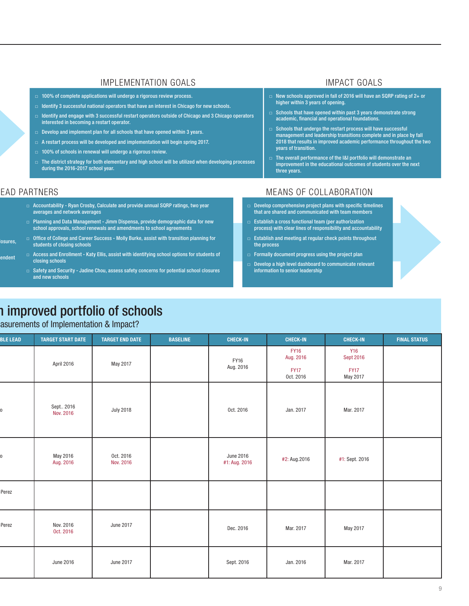#### IMPLEMENTATION GOALS **IMPLEMENTATION**

- □ 100% of complete applications will undergo a rigorous review process.
- □ Identify 3 successful national operators that have an interest in Chicago for new schools.
- □ Identify and engage with 3 successful restart operators outside of Chicago and 3 Chicago operators interested in becoming a restart operator.
- $\Box$  Develop and implement plan for all schools that have opened within 3 years.
- $\Box$  A restart process will be developed and implementation will begin spring 2017.
- □ 100% of schools in renewal will undergo a rigorous review.
- $\Box$  The district strategy for both elementary and high school will be utilized when developing processes during the 2016-2017 school year.

- New schools approved in fall of 2016 will have an SQRP rating of 2+ or higher within 3 years of opening.
- $\Box$  Schools that have opened within past 3 years demonstrate strong academic, financial and operational foundations.
- $\Box$  Schools that undergo the restart process will have successful management and leadership transitions complete and in place by fall 2018 that results in improved academic performance throughout the two years of transition.
- The overall performance of the I&I portfolio will demonstrate an improvement in the educational outcomes of students over the next three years.

endent

- □ Accountability Ryan Crosby, Calculate and provide annual SQRP ratings, two year averages and network averages
- □ Planning and Data Management Jimm Dispensa, provide demographic data for new school approvals, school renewals and amendments to school agreements
- osures, □ Office of College and Career Success - Molly Burke, assist with transition planning for students of closing schools
	- □ Access and Enrollment Katy Ellis, assist with identifying school options for students of closing schools
	- □ Safety and Security Jadine Chou, assess safety concerns for potential school closures and new schools

## 1 improved portfolio of schools

#### asurements of Implementation & Impact?

| <b>BLE LEAD</b> | <b>TARGET START DATE</b> | <b>TARGET END DATE</b> | <b>BASELINE</b> | <b>CHECK-IN</b>            | <b>CHECK-IN</b>          | <b>CHECK-IN</b>                | <b>FINAL STATUS</b> |
|-----------------|--------------------------|------------------------|-----------------|----------------------------|--------------------------|--------------------------------|---------------------|
|                 | April 2016               | May 2017               |                 | FY16                       | <b>FY16</b><br>Aug. 2016 | <b>Y16</b><br><b>Sept 2016</b> |                     |
|                 |                          |                        |                 | Aug. 2016                  | <b>FY17</b><br>Oct. 2016 | <b>FY17</b><br>May 2017        |                     |
|                 | Sept 2016<br>Nov. 2016   | <b>July 2018</b>       |                 | Oct. 2016                  | Jan. 2017                | Mar. 2017                      |                     |
|                 | May 2016<br>Aug. 2016    | Oct. 2016<br>Nov. 2016 |                 | June 2016<br>#1: Aug. 2016 | #2: Aug.2016             | #1: Sept. 2016                 |                     |
| Perez           |                          |                        |                 |                            |                          |                                |                     |
| Perez           | Nov. 2016<br>Oct. 2016   | June 2017              |                 | Dec. 2016                  | Mar. 2017                | May 2017                       |                     |
|                 | June 2016                | June 2017              |                 | Sept. 2016                 | Jan. 2016                | Mar. 2017                      |                     |

### EAD PARTNERS THE RESERVE OF STATE AND MEANS OF COLLABORATION

- Develop comprehensive project plans with specific timelines that are shared and communicated with team members
- $\Box$  Establish a cross functional team (per authorization process) with clear lines of responsibility and accountability
- □ Establish and meeting at regular check points throughout the process
- $\Box$  Formally document progress using the project plan
- Develop a high level dashboard to communicate relevant information to senior leadership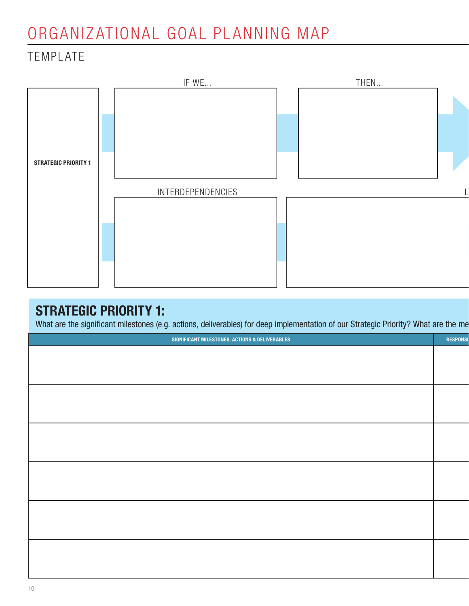### TEMPLATE



### STRATEGIC PRIORITY 1:

What are the significant milestones (e.g. actions, deliverables) for deep implementation of our Strategic Priority? What are the me

| <u>and the company of the company of the company of the company of the company of the company of the company of the company of the company of the company of the company of the company of the company of the company of the com</u> |
|--------------------------------------------------------------------------------------------------------------------------------------------------------------------------------------------------------------------------------------|
| <b>RESPONSI</b>                                                                                                                                                                                                                      |
|                                                                                                                                                                                                                                      |
|                                                                                                                                                                                                                                      |
|                                                                                                                                                                                                                                      |
|                                                                                                                                                                                                                                      |
|                                                                                                                                                                                                                                      |
|                                                                                                                                                                                                                                      |
|                                                                                                                                                                                                                                      |
|                                                                                                                                                                                                                                      |
|                                                                                                                                                                                                                                      |
|                                                                                                                                                                                                                                      |
|                                                                                                                                                                                                                                      |
|                                                                                                                                                                                                                                      |
|                                                                                                                                                                                                                                      |
|                                                                                                                                                                                                                                      |
|                                                                                                                                                                                                                                      |
|                                                                                                                                                                                                                                      |
|                                                                                                                                                                                                                                      |
|                                                                                                                                                                                                                                      |
|                                                                                                                                                                                                                                      |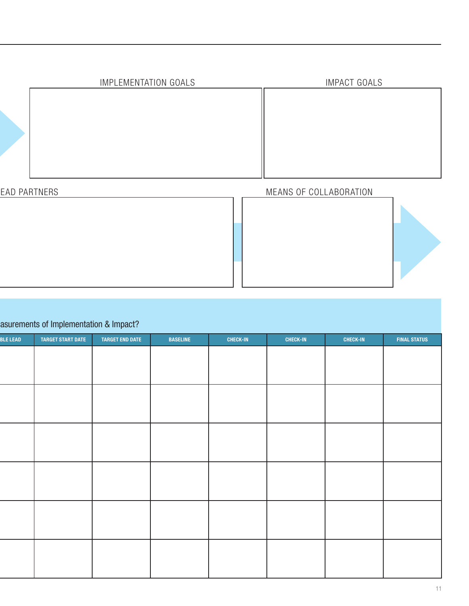| IMPLEMENTATION GOALS | <b>IMPACT GOALS</b> |
|----------------------|---------------------|
|                      |                     |

### EAD PARTNERS **EXECUTE SERVICES** MEANS OF COLLABORATION



### asurements of Implementation & Impact?

| <b>BLE LEAD</b> | <b>TARGET START DATE</b> | <b>TARGET END DATE</b> | <b>BASELINE</b> | <b>CHECK-IN</b> | <b>CHECK-IN</b> | <b>CHECK-IN</b> | <b>FINAL STATUS</b> |
|-----------------|--------------------------|------------------------|-----------------|-----------------|-----------------|-----------------|---------------------|
|                 |                          |                        |                 |                 |                 |                 |                     |
|                 |                          |                        |                 |                 |                 |                 |                     |
|                 |                          |                        |                 |                 |                 |                 |                     |
|                 |                          |                        |                 |                 |                 |                 |                     |
|                 |                          |                        |                 |                 |                 |                 |                     |
|                 |                          |                        |                 |                 |                 |                 |                     |
|                 |                          |                        |                 |                 |                 |                 |                     |
|                 |                          |                        |                 |                 |                 |                 |                     |
|                 |                          |                        |                 |                 |                 |                 |                     |
|                 |                          |                        |                 |                 |                 |                 |                     |
|                 |                          |                        |                 |                 |                 |                 |                     |
|                 |                          |                        |                 |                 |                 |                 |                     |
|                 |                          |                        |                 |                 |                 |                 |                     |
|                 |                          |                        |                 |                 |                 |                 |                     |
|                 |                          |                        |                 |                 |                 |                 |                     |
|                 |                          |                        |                 |                 |                 |                 |                     |
|                 |                          |                        |                 |                 |                 |                 |                     |
|                 |                          |                        |                 |                 |                 |                 |                     |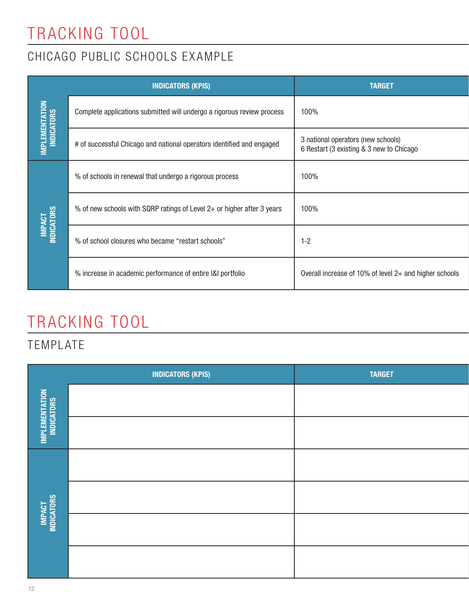# TRACKING TOOL

### CHICAGO PUBLIC SCHOOLS EXAMPLE

|                                     | <b>INDICATORS (KPIS)</b>                                               | <b>TARGET</b>                                                                  |
|-------------------------------------|------------------------------------------------------------------------|--------------------------------------------------------------------------------|
| <b>IMPLEMENTATION</b><br>INDICATORS | Complete applications submitted will undergo a rigorous review process | 100%                                                                           |
|                                     | # of successful Chicago and national operators identified and engaged  | 3 national operators (new schools)<br>6 Restart (3 existing & 3 new to Chicago |
|                                     | % of schools in renewal that undergo a rigorous process                | 100%                                                                           |
|                                     | % of new schools with SQRP ratings of Level 2+ or higher after 3 years | 100%                                                                           |
| <b>IMPACT<br/>INDICATORS</b>        | % of school closures who became "restart schools"                      | $1 - 2$                                                                        |
|                                     | % increase in academic performance of entire I&I portfolio             | Overall increase of 10% of level 2+ and higher schools                         |

# TRACKING TOOL

### TEMPLATE

|                                     | <b>INDICATORS (KPIS)</b> | <b>TARGET</b> |
|-------------------------------------|--------------------------|---------------|
| <b>IMPLEMENTATION</b><br>INDICATORS |                          |               |
|                                     |                          |               |
|                                     |                          |               |
| <b>MPACT</b><br>Indicators          |                          |               |
|                                     |                          |               |
|                                     |                          |               |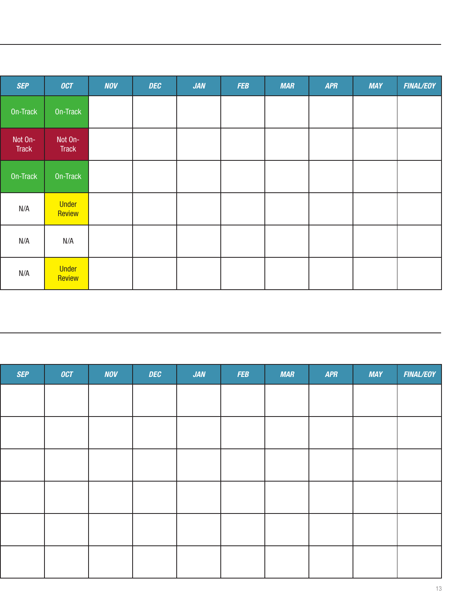| <b>SEP</b>              | [OCT]            | <b>NOV</b> | <b>DEC</b> | JAN | <b>FEB</b> | <b>MAR</b> | <b>APR</b> | <b>MAY</b> | <b>FINAL/EOY</b> |
|-------------------------|------------------|------------|------------|-----|------------|------------|------------|------------|------------------|
| On-Track                | On-Track         |            |            |     |            |            |            |            |                  |
| Not On-<br><b>Track</b> | Not On-<br>Track |            |            |     |            |            |            |            |                  |
| On-Track                | On-Track         |            |            |     |            |            |            |            |                  |
| N/A                     | Under<br>Review  |            |            |     |            |            |            |            |                  |
| N/A                     | N/A              |            |            |     |            |            |            |            |                  |
| N/A                     | Under<br>Review  |            |            |     |            |            |            |            |                  |

| <b>SEP</b> | OCT | <b>NOV</b> | <b>DEC</b> | JAN | <b>FEB</b> | MAR | <b>APR</b> | <b>MAY</b> | <b>FINAL/EOY</b> |
|------------|-----|------------|------------|-----|------------|-----|------------|------------|------------------|
|            |     |            |            |     |            |     |            |            |                  |
|            |     |            |            |     |            |     |            |            |                  |
|            |     |            |            |     |            |     |            |            |                  |
|            |     |            |            |     |            |     |            |            |                  |
|            |     |            |            |     |            |     |            |            |                  |
|            |     |            |            |     |            |     |            |            |                  |
|            |     |            |            |     |            |     |            |            |                  |
|            |     |            |            |     |            |     |            |            |                  |
|            |     |            |            |     |            |     |            |            |                  |
|            |     |            |            |     |            |     |            |            |                  |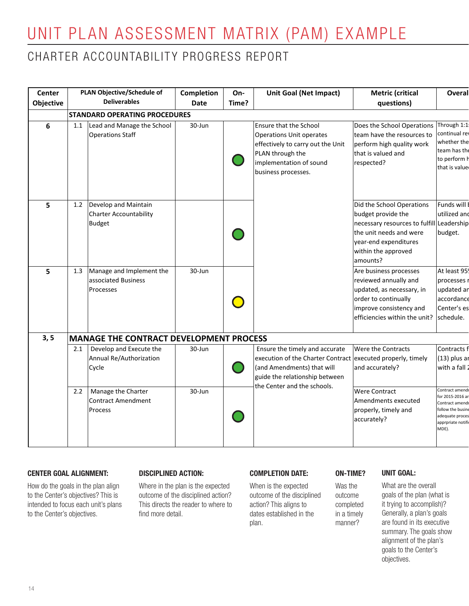# UNIT PLAN ASSESSMENT MATRIX (PAM) EXAMPLE

### CHARTER ACCOUNTABILITY PROGRESS REPORT

| Center         | <b>PLAN Objective/Schedule of</b>                                                               | Completion       | On-   | <b>Unit Goal (Net Impact)</b>                                                                                                                                        | <b>Metric (critical</b>                                                                                                                                                             | Overal                                                                                                   |
|----------------|-------------------------------------------------------------------------------------------------|------------------|-------|----------------------------------------------------------------------------------------------------------------------------------------------------------------------|-------------------------------------------------------------------------------------------------------------------------------------------------------------------------------------|----------------------------------------------------------------------------------------------------------|
| Objective      | <b>Deliverables</b>                                                                             | Date             | Time? |                                                                                                                                                                      | questions)                                                                                                                                                                          |                                                                                                          |
|                | <b>STANDARD OPERATING PROCEDURES</b>                                                            |                  |       |                                                                                                                                                                      |                                                                                                                                                                                     |                                                                                                          |
| $6\phantom{1}$ | Lead and Manage the School<br>1.1<br><b>Operations Staff</b>                                    | 30-Jun           |       | Ensure that the School<br><b>Operations Unit operates</b><br>effectively to carry out the Unit<br>PLAN through the<br>implementation of sound<br>business processes. | Does the School Operations Through 1:1<br>team have the resources to<br>perform high quality work<br>that is valued and<br>respected?                                               | continual rev<br>whether the<br>team has the<br>to perform h<br>that is value                            |
| 5              | Develop and Maintain<br>1.2<br>Charter Accountability<br><b>Budget</b>                          |                  |       |                                                                                                                                                                      | Did the School Operations<br>budget provide the<br>necessary resources to fulfill Leadership<br>the unit needs and were<br>year-end expenditures<br>within the approved<br>amounts? | Funds will I<br>utilized and<br>budget.                                                                  |
| 5              | Manage and Implement the<br>1.3<br>associated Business<br>Processes                             | 30-Jun           |       |                                                                                                                                                                      | Are business processes<br>reviewed annually and<br>updated, as necessary, in<br>order to continually<br>improve consistency and<br>efficiencies within the unit?                    | At least 95<br>processes i<br>updated ar<br>accordance<br>Center's es<br>schedule.                       |
| 3, 5           | <b>MANAGE THE CONTRACT DEVELOPMENT PROCESS</b>                                                  |                  |       |                                                                                                                                                                      |                                                                                                                                                                                     |                                                                                                          |
|                | Develop and Execute the<br>2.1<br>Annual Re/Authorization<br>Cycle<br>Manage the Charter<br>2.2 | 30-Jun<br>30-Jun |       | Ensure the timely and accurate<br>execution of the Charter Contract<br>(and Amendments) that will<br>guide the relationship between<br>the Center and the schools.   | Were the Contracts<br>executed properly, timely<br>and accurately?<br><b>Were Contract</b>                                                                                          | Contracts f<br>$(13)$ plus ar<br>with a fall 2<br>Contract amend                                         |
|                | <b>Contract Amendment</b><br>Process                                                            |                  |       |                                                                                                                                                                      | Amendments executed<br>properly, timely and<br>accurately?                                                                                                                          | for 2015-2016 ar<br>Contract amend<br>follow the busine<br>adequate proces<br>apprpriate notifi<br>MDE). |

#### CENTER GOAL ALIGNMENT:

How do the goals in the plan align to the Center's objectives? This is intended to focus each unit's plans to the Center's objectives.

#### DISCIPLINED ACTION:

to the Center's objectives. That the only the detail. The charter stablished in the the altimely the defierally, a plan's goals Where in the plan is the expected outcome of the disciplined action? This directs the reader to where to find more detail.

#### COMPLETION DATE:

When is the expected outcome of the disciplined action? This aligns to dates established in the plan.

#### ON-TIME?

Was the outcome completed in a timely manner?

#### UNIT GOAL:

What are the overall goals of the plan (what is it trying to accomplish)? Generally, a plan's goals are found in its executive summary. The goals show alignment of the plan's goals to the Center's objectives.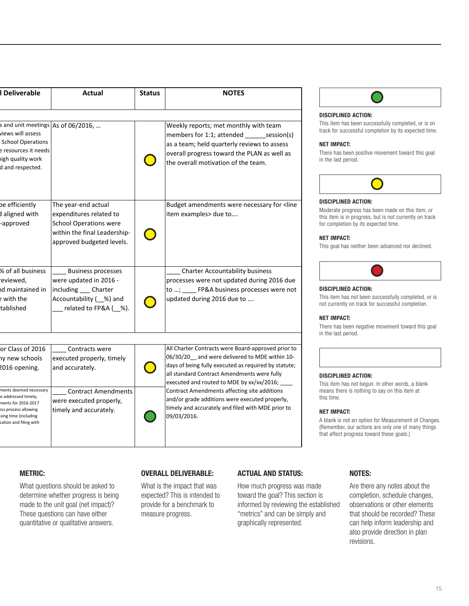| I Deliverable                                                                                                                                                                                         | Actual                                                                                                                                            | <b>Status</b> | <b>NOTES</b>                                                                                                                                                                                                                                                                                                                                                                                                                     |
|-------------------------------------------------------------------------------------------------------------------------------------------------------------------------------------------------------|---------------------------------------------------------------------------------------------------------------------------------------------------|---------------|----------------------------------------------------------------------------------------------------------------------------------------------------------------------------------------------------------------------------------------------------------------------------------------------------------------------------------------------------------------------------------------------------------------------------------|
| s and unit meetings As of 06/2016,<br>views will assess<br><b>School Operations</b><br>e resources it needs<br>igh quality work<br>d and respected.                                                   |                                                                                                                                                   |               | Weekly reports; met monthly with team<br>members for 1:1; attended session(s)<br>as a team; held quarterly reviews to assess<br>overall progress toward the PLAN as well as<br>the overall motivation of the team.                                                                                                                                                                                                               |
| be efficiently<br>d aligned with<br>-approved                                                                                                                                                         | The year-end actual<br>expenditures related to<br><b>School Operations were</b><br>within the final Leadership-<br>approved budgeted levels.      |               | Budget amendments were necessary for <line<br>item examples&gt; due to</line<br>                                                                                                                                                                                                                                                                                                                                                 |
| % of all business<br>eviewed,<br>d maintained in<br>with the<br>tablished                                                                                                                             | Business processes<br>were updated in 2016 -<br>including __ Charter<br>related to FP&A (_%).                                                     |               | <b>Charter Accountability business</b><br>processes were not updated during 2016 due<br>to ; _____ FP&A business processes were not<br>updated during 2016 due to                                                                                                                                                                                                                                                                |
| or Class of 2016<br>hy new schools<br>2016 opening.<br>ments deemed necessary<br>e addressed timely;<br>nents for 2016-2017<br>ess process allowing<br>sing time (including<br>cation and filing with | Contracts were<br>executed properly, timely<br>and accurately.<br><b>Contract Amendments</b><br>were executed properly,<br>timely and accurately. |               | All Charter Contracts were Board-approved prior to<br>06/30/20 and were delivered to MDE within 10-<br>days of being fully executed as required by statute;<br>all standard Contract Amendments were fully<br>executed and routed to MDE by xx/xx/2016; __<br>Contract Amendments affecting site additions<br>and/or grade additions were executed properly,<br>timely and accurately and filed with MDE prior to<br>09/03/2016. |



#### DISCIPLINED ACTION:

This item has been successfully completed, or is on track for successful completion by its expected time.

#### NET IMPACT:

There has been positive movement toward this goal in the last period.



#### DISCIPLINED ACTION:

Moderate progress has been made on this item, or this item is in progress, but is not currently on track for completion by its expected time.

#### NET IMPACT:

This goal has neither been advanced nor declined.



#### DISCIPLINED ACTION:

This item has not been successfully completed, or is not currently on track for successful completion.

#### NET IMPACT:

There has been negative movement toward this goal in the last period.

#### DISCIPLINED ACTION:

This item has not begun. In other words, a blank means there is nothing to say on this item at this time.

#### NET IMPACT:

A blank is not an option for Measurement of Changes. (Remember, our actions are only one of many things that affect progress toward these goals.)

#### METRIC:

These questions can have either the charter progress. These immetrics and can be simpled that the simpled in the  $\eta$ What questions should be asked to determine whether progress is being made to the unit goal (net impact)? These questions can have either quantitative or qualitative answers.

#### OVERALL DELIVERABLE:

What is the impact that was expected? This is intended to provide for a benchmark to measure progress.

#### ACTUAL AND STATUS:

How much progress was made toward the goal? This section is informed by reviewing the established "metrics" and can be simply and graphically represented.

#### NOTES:

Are there any notes about the completion, schedule changes, observations or other elements that should be recorded? These can help inform leadership and also provide direction in plan revisions.